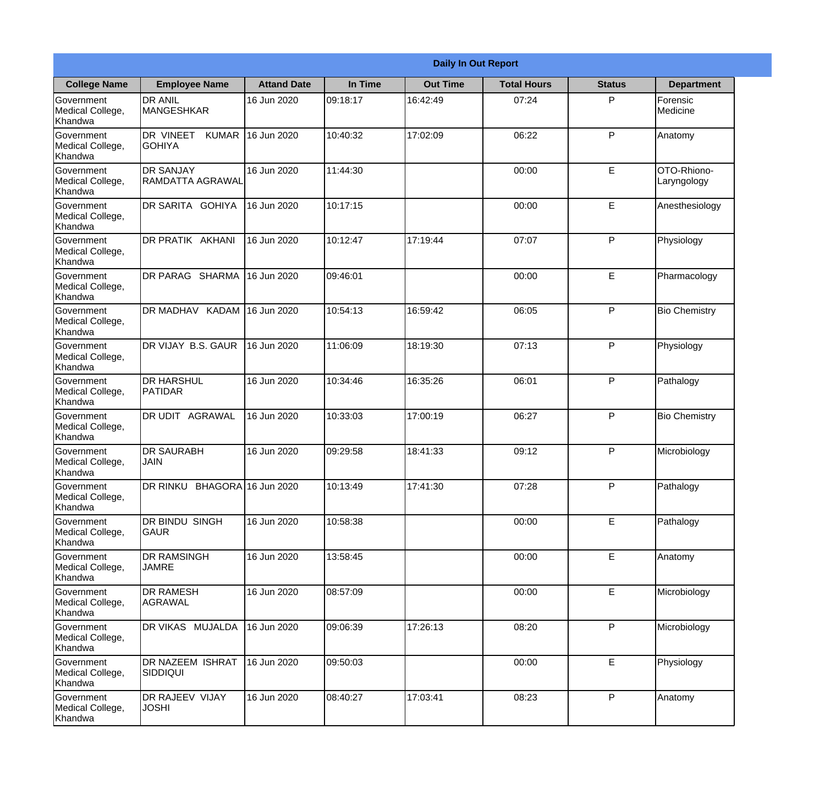|                                                  |                                            |                    |          | <b>Daily In Out Report</b> |                    |               |                            |
|--------------------------------------------------|--------------------------------------------|--------------------|----------|----------------------------|--------------------|---------------|----------------------------|
| <b>College Name</b>                              | <b>Employee Name</b>                       | <b>Attand Date</b> | In Time  | <b>Out Time</b>            | <b>Total Hours</b> | <b>Status</b> | <b>Department</b>          |
| Government<br>Medical College,<br>Khandwa        | <b>DR ANIL</b><br><b>MANGESHKAR</b>        | 16 Jun 2020        | 09:18:17 | 16:42:49                   | 07:24              | P             | Forensic<br>Medicine       |
| Government<br>Medical College,<br>Khandwa        | DR VINEET<br><b>KUMAR</b><br><b>GOHIYA</b> | 16 Jun 2020        | 10:40:32 | 17:02:09                   | 06:22              | P             | Anatomy                    |
| <b>Government</b><br>Medical College,<br>Khandwa | <b>DR SANJAY</b><br>RAMDATTA AGRAWAL       | 16 Jun 2020        | 11:44:30 |                            | 00:00              | E             | OTO-Rhiono-<br>Laryngology |
| Government<br>Medical College,<br>Khandwa        | DR SARITA GOHIYA                           | 16 Jun 2020        | 10:17:15 |                            | 00:00              | E             | Anesthesiology             |
| Government<br>Medical College,<br>Khandwa        | <b>DR PRATIK AKHANI</b>                    | 16 Jun 2020        | 10:12:47 | 17:19:44                   | 07:07              | P             | Physiology                 |
| Government<br>Medical College,<br>Khandwa        | <b>DR PARAG SHARMA</b>                     | 16 Jun 2020        | 09:46:01 |                            | 00:00              | E             | Pharmacology               |
| Government<br>Medical College,<br>Khandwa        | DR MADHAV KADAM                            | 16 Jun 2020        | 10:54:13 | 16:59:42                   | 06:05              | P             | <b>Bio Chemistry</b>       |
| Government<br>Medical College,<br>Khandwa        | DR VIJAY B.S. GAUR                         | 16 Jun 2020        | 11:06:09 | 18:19:30                   | 07:13              | P             | Physiology                 |
| Government<br>Medical College,<br>Khandwa        | <b>DR HARSHUL</b><br>PATIDAR               | 16 Jun 2020        | 10:34:46 | 16:35:26                   | 06:01              | P             | Pathalogy                  |
| Government<br>Medical College,<br>Khandwa        | DR UDIT<br><b>AGRAWAL</b>                  | 16 Jun 2020        | 10:33:03 | 17:00:19                   | 06:27              | P             | <b>Bio Chemistry</b>       |
| Government<br>Medical College,<br>Khandwa        | <b>DR SAURABH</b><br><b>JAIN</b>           | 16 Jun 2020        | 09:29:58 | 18:41:33                   | 09:12              | $\mathsf{P}$  | Microbiology               |
| Government<br>Medical College,<br>Khandwa        | DR RINKU BHAGORA 16 Jun 2020               |                    | 10:13:49 | 17:41:30                   | 07:28              | P             | Pathalogy                  |
| Government<br>Medical College,<br>Khandwa        | <b>DR BINDU SINGH</b><br><b>GAUR</b>       | 16 Jun 2020        | 10:58:38 |                            | 00:00              | E             | Pathalogy                  |
| Government<br>Medical College,<br>Khandwa        | <b>DR RAMSINGH</b><br><b>JAMRE</b>         | 16 Jun 2020        | 13:58:45 |                            | 00:00              | E             | Anatomy                    |
| Government<br>Medical College,<br>Khandwa        | <b>DR RAMESH</b><br>AGRAWAL                | 16 Jun 2020        | 08:57:09 |                            | 00:00              | E             | Microbiology               |
| Government<br>Medical College,<br>Khandwa        | <b>DR VIKAS MUJALDA</b>                    | 16 Jun 2020        | 09:06:39 | 17:26:13                   | 08:20              | P             | Microbiology               |
| Government<br>Medical College,<br>Khandwa        | <b>DR NAZEEM ISHRAT</b><br><b>SIDDIQUI</b> | 16 Jun 2020        | 09:50:03 |                            | 00:00              | E             | Physiology                 |
| Government<br>Medical College,<br>Khandwa        | DR RAJEEV VIJAY<br><b>JOSHI</b>            | 16 Jun 2020        | 08:40:27 | 17:03:41                   | 08:23              | P             | Anatomy                    |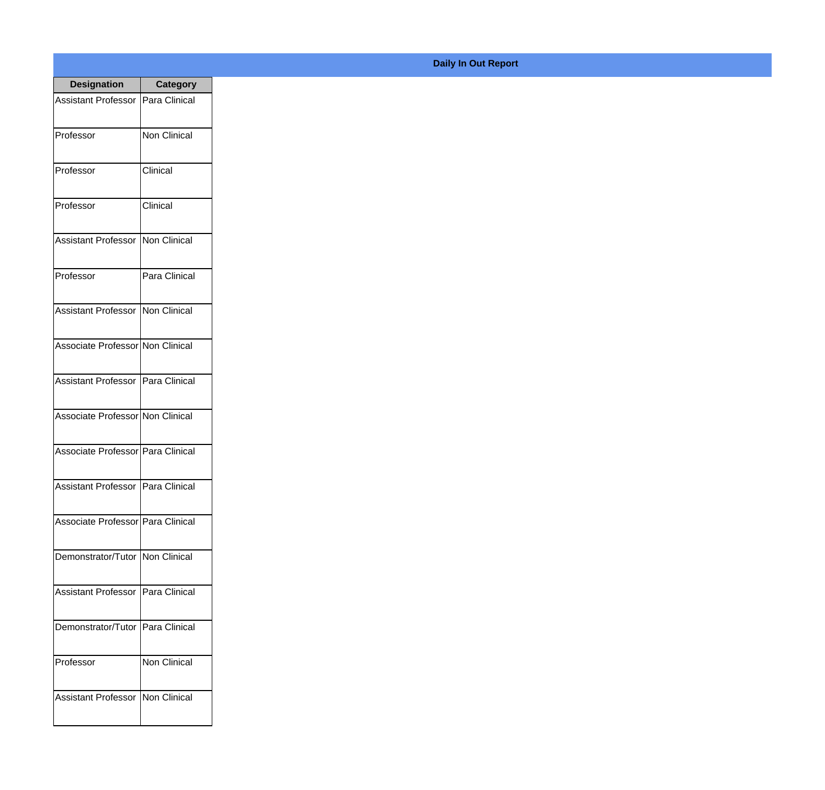| <b>Designation</b>                  | <b>Category</b>     |
|-------------------------------------|---------------------|
| Assistant Professor   Para Clinical |                     |
| Professor                           | <b>Non Clinical</b> |
| Professor                           | Clinical            |
| Professor                           | Clinical            |
| <b>Assistant Professor</b>          | Non Clinical        |
| Professor                           | Para Clinical       |
| Assistant Professor   Non Clinical  |                     |
| Associate Professor Non Clinical    |                     |
| Assistant Professor   Para Clinical |                     |
| Associate Professor Non Clinical    |                     |
| Associate Professor Para Clinical   |                     |
| Assistant Professor   Para Clinical |                     |
| Associate Professor Para Clinical   |                     |
| Demonstrator/Tutor   Non Clinical   |                     |
| Assistant Professor                 | Para Clinical       |
| Demonstrator/Tutor                  | Para Clinical       |
| Professor                           | Non Clinical        |
| <b>Assistant Professor</b>          | Non Clinical        |

## **Daily In Out Report**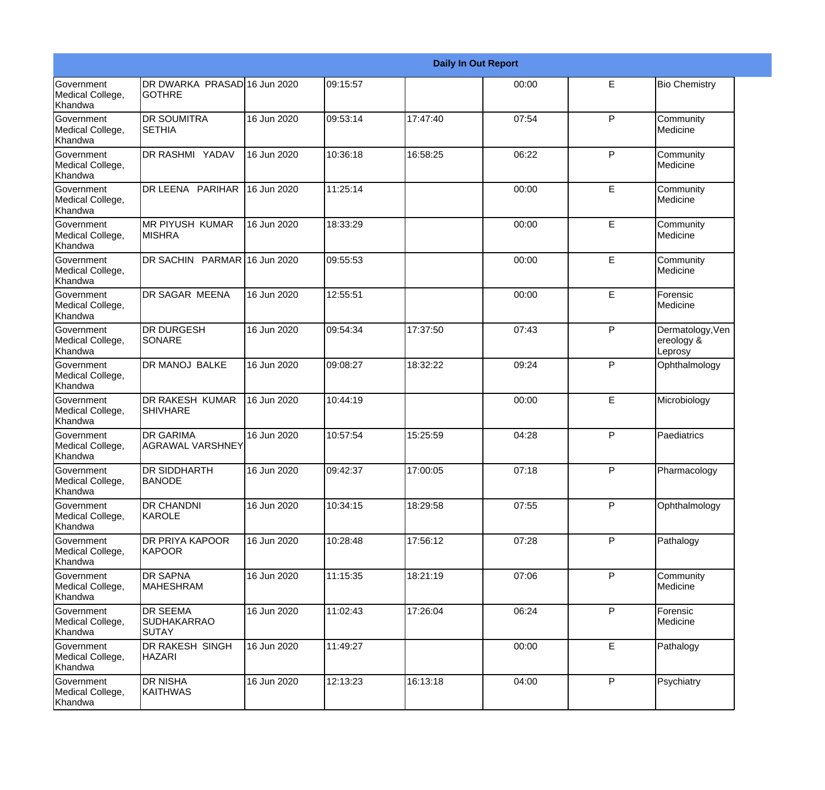|                                                  |                                                |             |          |          | <b>Daily In Out Report</b> |              |                                           |
|--------------------------------------------------|------------------------------------------------|-------------|----------|----------|----------------------------|--------------|-------------------------------------------|
| <b>Government</b><br>Medical College,<br>Khandwa | DR DWARKA PRASAD 16 Jun 2020<br>lgothre        |             | 09:15:57 |          | 00:00                      | E            | <b>Bio Chemistry</b>                      |
| <b>Government</b><br>Medical College,<br>Khandwa | DR SOUMITRA<br><b>SETHIA</b>                   | 16 Jun 2020 | 09:53:14 | 17:47:40 | 07:54                      | P            | Community<br>Medicine                     |
| <b>Government</b><br>Medical College,<br>Khandwa | DR RASHMI YADAV                                | 16 Jun 2020 | 10:36:18 | 16:58:25 | 06:22                      | P            | Community<br>Medicine                     |
| <b>Government</b><br>Medical College,<br>Khandwa | DR LEENA PARIHAR                               | 16 Jun 2020 | 11:25:14 |          | 00:00                      | E            | Community<br>Medicine                     |
| Government<br>Medical College,<br>Khandwa        | <b>MR PIYUSH KUMAR</b><br><b>MISHRA</b>        | 16 Jun 2020 | 18:33:29 |          | 00:00                      | E            | Community<br>Medicine                     |
| <b>Government</b><br>Medical College,<br>Khandwa | DR SACHIN PARMAR 16 Jun 2020                   |             | 09:55:53 |          | 00:00                      | E            | Community<br>Medicine                     |
| Government<br>Medical College,<br>Khandwa        | <b>DR SAGAR MEENA</b>                          | 16 Jun 2020 | 12:55:51 |          | 00:00                      | E            | Forensic<br><b>I</b> Medicine             |
| Government<br>Medical College,<br>Khandwa        | <b>DR DURGESH</b><br><b>SONARE</b>             | 16 Jun 2020 | 09:54:34 | 17:37:50 | 07:43                      | $\mathsf{P}$ | Dermatology, Ven<br>ereology &<br>Leprosy |
| <b>Government</b><br>Medical College,<br>Khandwa | DR MANOJ BALKE                                 | 16 Jun 2020 | 09:08:27 | 18:32:22 | 09:24                      | $\mathsf{P}$ | Ophthalmology                             |
| <b>Government</b><br>Medical College,<br>Khandwa | <b>DR RAKESH KUMAR</b><br><b>SHIVHARE</b>      | 16 Jun 2020 | 10:44:19 |          | 00:00                      | E            | Microbiology                              |
| Government<br>Medical College,<br>Khandwa        | <b>DR GARIMA</b><br>AGRAWAL VARSHNEY           | 16 Jun 2020 | 10:57:54 | 15:25:59 | 04:28                      | $\mathsf{P}$ | Paediatrics                               |
| Government<br>Medical College,<br>Khandwa        | DR SIDDHARTH<br><b>BANODE</b>                  | 16 Jun 2020 | 09:42:37 | 17:00:05 | 07:18                      | P            | Pharmacology                              |
| Government<br>Medical College,<br>Khandwa        | DR CHANDNI<br>KAROLE                           | 16 Jun 2020 | 10:34:15 | 18:29:58 | 07:55                      | P            | Ophthalmology                             |
| Government<br>Medical College,<br>Khandwa        | DR PRIYA KAPOOR<br><b>KAPOOR</b>               | 16 Jun 2020 | 10:28:48 | 17:56:12 | 07:28                      | P            | Pathalogy                                 |
| Government<br>Medical College,<br>Khandwa        | <b>DR SAPNA</b><br><b>MAHESHRAM</b>            | 16 Jun 2020 | 11:15:35 | 18:21:19 | 07:06                      | P            | Community<br>Medicine                     |
| Government<br>Medical College,<br>Khandwa        | <b>DR SEEMA</b><br>SUDHAKARRAO<br><b>SUTAY</b> | 16 Jun 2020 | 11:02:43 | 17:26:04 | 06:24                      | P            | Forensic<br>Medicine                      |
| Government<br>Medical College,<br>Khandwa        | DR RAKESH SINGH<br><b>HAZARI</b>               | 16 Jun 2020 | 11:49:27 |          | 00:00                      | E            | Pathalogy                                 |
| Government<br>Medical College,<br>Khandwa        | DR NISHA<br><b>KAITHWAS</b>                    | 16 Jun 2020 | 12:13:23 | 16:13:18 | 04:00                      | P            | Psychiatry                                |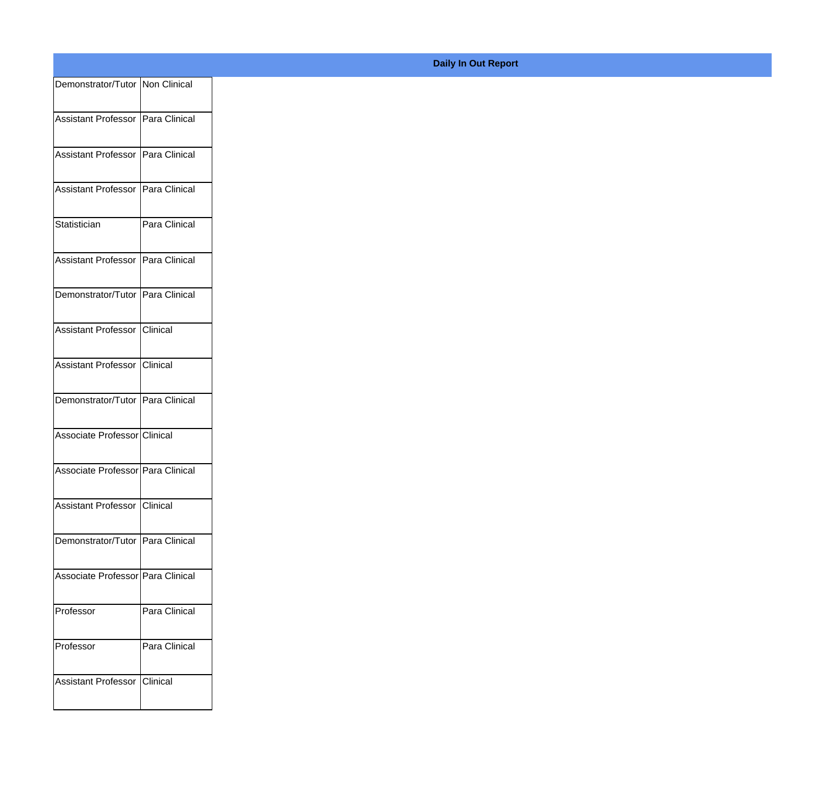| Demonstrator/Tutor Non Clinical    |               |
|------------------------------------|---------------|
|                                    |               |
| Assistant Professor Para Clinical  |               |
| Assistant Professor Para Clinical  |               |
|                                    |               |
| Assistant Professor Para Clinical  |               |
| Statistician                       | Para Clinical |
|                                    |               |
| Assistant Professor Para Clinical  |               |
| Demonstrator/Tutor Para Clinical   |               |
|                                    |               |
| Assistant Professor Clinical       |               |
| Assistant Professor Clinical       |               |
|                                    |               |
| Demonstrator/Tutor Para Clinical   |               |
| Associate Professor Clinical       |               |
|                                    |               |
| Associate Professor Para Clinical  |               |
| Assistant Professor Clinical       |               |
|                                    |               |
| Demonstrator/Tutor   Para Clinical |               |
|                                    |               |
| Associate Professor Para Clinical  |               |
| Professor                          | Para Clinical |
|                                    |               |
| Professor                          | Para Clinical |
| Assistant Professor Clinical       |               |
|                                    |               |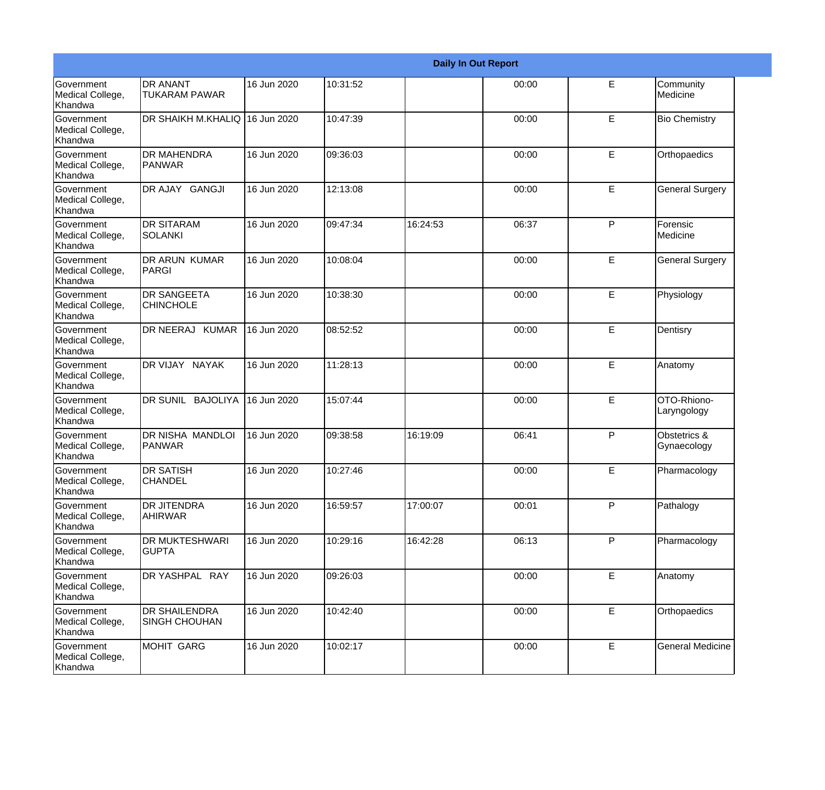|                                                  |                                              |             |          |          | <b>Daily In Out Report</b> |              |                             |
|--------------------------------------------------|----------------------------------------------|-------------|----------|----------|----------------------------|--------------|-----------------------------|
| Government<br>Medical College,<br>Khandwa        | <b>DR ANANT</b><br><b>TUKARAM PAWAR</b>      | 16 Jun 2020 | 10:31:52 |          | 00:00                      | E            | Community<br>Medicine       |
| Government<br>Medical College,<br>Khandwa        | DR SHAIKH M.KHALIQ 16 Jun 2020               |             | 10:47:39 |          | 00:00                      | E            | <b>Bio Chemistry</b>        |
| <b>Government</b><br>Medical College,<br>Khandwa | <b>DR MAHENDRA</b><br>PANWAR                 | 16 Jun 2020 | 09:36:03 |          | 00:00                      | E            | Orthopaedics                |
| Government<br>Medical College,<br>Khandwa        | DR AJAY GANGJI                               | 16 Jun 2020 | 12:13:08 |          | 00:00                      | E            | <b>General Surgery</b>      |
| Government<br>Medical College,<br>Khandwa        | <b>DR SITARAM</b><br><b>SOLANKI</b>          | 16 Jun 2020 | 09:47:34 | 16:24:53 | 06:37                      | $\mathsf{P}$ | Forensic<br>Medicine        |
| Government<br>Medical College,<br>Khandwa        | <b>DR ARUN KUMAR</b><br>PARGI                | 16 Jun 2020 | 10:08:04 |          | 00:00                      | E            | <b>General Surgery</b>      |
| <b>Government</b><br>Medical College,<br>Khandwa | <b>DR SANGEETA</b><br><b>CHINCHOLE</b>       | 16 Jun 2020 | 10:38:30 |          | 00:00                      | E            | Physiology                  |
| Government<br>Medical College,<br>Khandwa        | DR NEERAJ KUMAR                              | 16 Jun 2020 | 08:52:52 |          | 00:00                      | E            | Dentisry                    |
| Government<br>Medical College,<br>Khandwa        | DR VIJAY NAYAK                               | 16 Jun 2020 | 11:28:13 |          | 00:00                      | E            | Anatomy                     |
| Government<br>Medical College,<br>Khandwa        | DR SUNIL BAJOLIYA                            | 16 Jun 2020 | 15:07:44 |          | 00:00                      | E            | OTO-Rhiono-<br>Laryngology  |
| <b>Government</b><br>Medical College,<br>Khandwa | DR NISHA MANDLOI<br>PANWAR                   | 16 Jun 2020 | 09:38:58 | 16:19:09 | 06:41                      | P            | Obstetrics &<br>Gynaecology |
| Government<br>Medical College,<br>Khandwa        | <b>DR SATISH</b><br><b>CHANDEL</b>           | 16 Jun 2020 | 10:27:46 |          | 00:00                      | E            | Pharmacology                |
| Government<br>Medical College,<br>Khandwa        | <b>DR JITENDRA</b><br><b>AHIRWAR</b>         | 16 Jun 2020 | 16:59:57 | 17:00:07 | 00:01                      | P            | Pathalogy                   |
| Government<br>Medical College,<br>Khandwa        | <b>DR MUKTESHWARI</b><br><b>GUPTA</b>        | 16 Jun 2020 | 10:29:16 | 16:42:28 | 06:13                      | P            | Pharmacology                |
| Government<br>Medical College,<br>Khandwa        | DR YASHPAL RAY                               | 16 Jun 2020 | 09:26:03 |          | 00:00                      | E            | Anatomy                     |
| Government<br>Medical College,<br>Khandwa        | <b>DR SHAILENDRA</b><br><b>SINGH CHOUHAN</b> | 16 Jun 2020 | 10:42:40 |          | 00:00                      | E            | Orthopaedics                |
| Government<br>Medical College,<br>Khandwa        | MOHIT GARG                                   | 16 Jun 2020 | 10:02:17 |          | 00:00                      | $\mathsf E$  | <b>General Medicine</b>     |